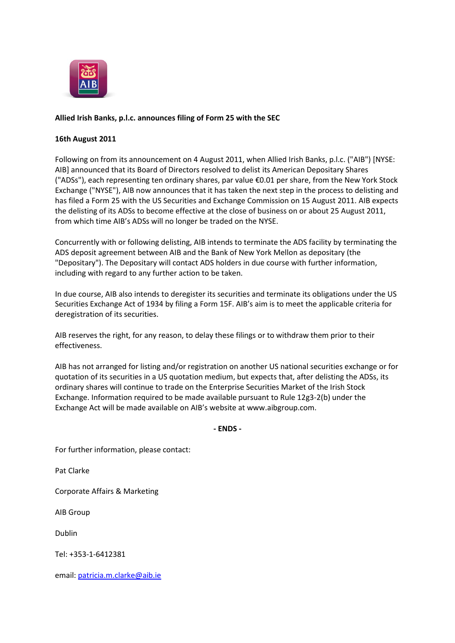

## **Allied Irish Banks, p.l.c. announces filing of Form 25 with the SEC**

## **16th August 2011**

Following on from its announcement on 4 August 2011, when Allied Irish Banks, p.l.c. ("AIB") [NYSE: AIB] announced that its Board of Directors resolved to delist its American Depositary Shares ("ADSs"), each representing ten ordinary shares, par value €0.01 per share, from the New York Stock Exchange ("NYSE"), AIB now announces that it has taken the next step in the process to delisting and has filed a Form 25 with the US Securities and Exchange Commission on 15 August 2011. AIB expects the delisting of its ADSs to become effective at the close of business on or about 25 August 2011, from which time AIB's ADSs will no longer be traded on the NYSE.

Concurrently with or following delisting, AIB intends to terminate the ADS facility by terminating the ADS deposit agreement between AIB and the Bank of New York Mellon as depositary (the "Depositary"). The Depositary will contact ADS holders in due course with further information, including with regard to any further action to be taken.

In due course, AIB also intends to deregister its securities and terminate its obligations under the US Securities Exchange Act of 1934 by filing a Form 15F. AIB's aim is to meet the applicable criteria for deregistration of its securities.

AIB reserves the right, for any reason, to delay these filings or to withdraw them prior to their effectiveness.

AIB has not arranged for listing and/or registration on another US national securities exchange or for quotation of its securities in a US quotation medium, but expects that, after delisting the ADSs, its ordinary shares will continue to trade on the Enterprise Securities Market of the Irish Stock Exchange. Information required to be made available pursuant to Rule 12g3-2(b) under the Exchange Act will be made available on AIB's website at www.aibgroup.com.

## **- ENDS -**

For further information, please contact:

Pat Clarke

Corporate Affairs & Marketing

AIB Group

Dublin

Tel: +353-1-6412381

email: [patricia.m.clarke@aib.ie](mailto:patricia.m.clarke@aib.ie)